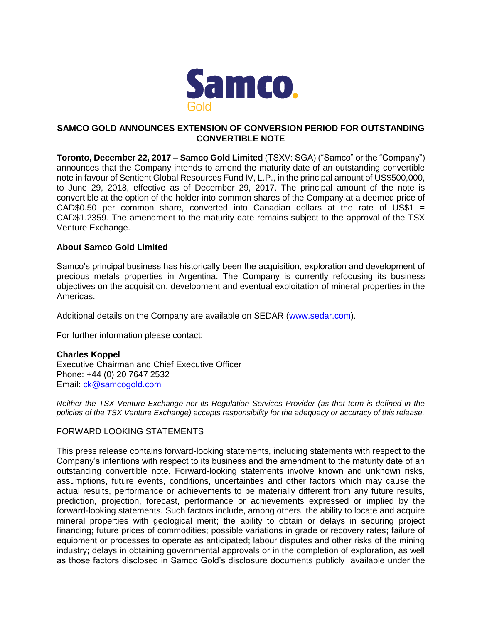

## **SAMCO GOLD ANNOUNCES EXTENSION OF CONVERSION PERIOD FOR OUTSTANDING CONVERTIBLE NOTE**

**Toronto, December 22, 2017 – Samco Gold Limited** (TSXV: SGA) ("Samco" or the "Company") announces that the Company intends to amend the maturity date of an outstanding convertible note in favour of Sentient Global Resources Fund IV, L.P., in the principal amount of US\$500,000, to June 29, 2018, effective as of December 29, 2017. The principal amount of the note is convertible at the option of the holder into common shares of the Company at a deemed price of CAD\$0.50 per common share, converted into Canadian dollars at the rate of US\$1 = CAD\$1.2359. The amendment to the maturity date remains subject to the approval of the TSX Venture Exchange.

## **About Samco Gold Limited**

Samco's principal business has historically been the acquisition, exploration and development of precious metals properties in Argentina. The Company is currently refocusing its business objectives on the acquisition, development and eventual exploitation of mineral properties in the Americas.

Additional details on the Company are available on SEDAR [\(www.sedar.com\)](http://www.sedar.com/).

For further information please contact:

## **Charles Koppel**

Executive Chairman and Chief Executive Officer Phone: +44 (0) 20 7647 2532 Email: [ck@samcogold.com](mailto:ck@samcogold.com)

*Neither the TSX Venture Exchange nor its Regulation Services Provider (as that term is defined in the policies of the TSX Venture Exchange) accepts responsibility for the adequacy or accuracy of this release.*

## FORWARD LOOKING STATEMENTS

This press release contains forward-looking statements, including statements with respect to the Company's intentions with respect to its business and the amendment to the maturity date of an outstanding convertible note. Forward-looking statements involve known and unknown risks, assumptions, future events, conditions, uncertainties and other factors which may cause the actual results, performance or achievements to be materially different from any future results, prediction, projection, forecast, performance or achievements expressed or implied by the forward-looking statements. Such factors include, among others, the ability to locate and acquire mineral properties with geological merit; the ability to obtain or delays in securing project financing; future prices of commodities; possible variations in grade or recovery rates; failure of equipment or processes to operate as anticipated; labour disputes and other risks of the mining industry; delays in obtaining governmental approvals or in the completion of exploration, as well as those factors disclosed in Samco Gold's disclosure documents publicly available under the